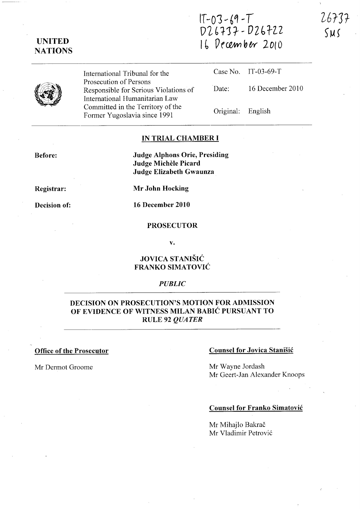# **IT-Oj "-6Q .. T DL-b'fJ?-- DZbi-lZ 1(, Of(€M1 bw 2010**

**UNITED NATIONS** 

> International Tribunal for the Prosecution of Persons Responsible for Serious Violations of International Humanitarian Law Committed in the Territory of the Former Yugoslavia since 1991

Case No. IT-03-69-T Date: 16 December 2010 Original: English

#### **IN TRIAL CHAMBER I**

**Before:** 

**Judge Alphons Orie, Presiding Judge MicheIe Picard Judge Elizabeth Gwaunza** 

**Registrar:** 

**Decision of:** 

**Mr John Hocking** 

**16 December 2010** 

#### **PROSECUTOR**

**v.** 

## **JOVICA STANISIC FRANKO SIMATOVIC**

#### *PUBLIC*

# **DECISION ON PROSECUTION'S MOTION FOR ADMISSION OF EVIDENCE OF WITNESS MILAN BABIC PURSUANT TO RULE 92** *QUATER*

#### **Office of the Prosecutor**

Mr Dermot Groome

#### **Counsel for Jovica Stanisic**

Mr Wayne Jordash Mr Geert-Jan Alexander Knoops

#### **Counsel for Franko Simatovic**

Mr Mihajlo Bakrač Mr Vladimir Petrovi6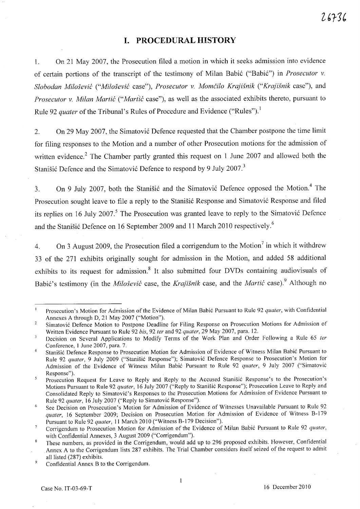# **I. PROCEDURAL HISTORY**

1. On 21 May 2007, the Prosecution filed a motion in which it seeks admission into evidence of certain portions of the transcript of the testimony of Milan Babi6 ("Babi6") in *Prosecutor* v. *Slobodan Milosevic ("Milosevic* case"), *Prosecutor* v. *Momcilo Krajisnik ("Krajisnik* case"), and *Prosecutor v. Milan Martić* ("*Martić* case"), as well as the associated exhibits thereto, pursuant to Rule 92 *quater* of the Tribunal's Rules of Procedure and Evidence ("Rules").<sup>1</sup>

2. On 29 May 2007, the Simatović Defence requested that the Chamber postpone the time limit for filing responses to the Motion and a number of other Prosecution motions for the admission of written evidence.<sup>2</sup> The Chamber partly granted this request on 1 June 2007 and allowed both the Stanišić Defence and the Simatović Defence to respond by 9 July 2007.<sup>3</sup>

3. On 9 July 2007, both the Stanisić and the Simatović Defence opposed the Motion.<sup>4</sup> The Prosecution sought leave to file a reply to the Stanisić Response and Simatović Response and filed its replies on 16 July 2007.<sup>5</sup> The Prosecution was granted leave to reply to the Simatović Defence and the Stanisić Defence on 16 September 2009 and 11 March 2010 respectively.<sup>6</sup>

4. On 3 August 2009, the Prosecution filed a corrigendum to the Motion<sup>7</sup> in which it withdrew 33 of the 271 exhibits originally sought for admission in the Motion, and added 58 additional exhibits to its request for admission.<sup>8</sup> It also submitted four DVDs containing audiovisuals of Babić's testimony (in the *Milošević* case, the *Krajišnik* case, and the *Martić* case).<sup>9</sup> Although no

9 Confidential Annex B to the Corrigendum.

 $\mathbf{I}$ Prosecution's Motion for Admission of the Evidence of Milan Babic Pursuant to Rule 92 *qualer,* with Confidential Annexes A through D, 21 May 2007 ("Motion").

 $\overline{2}$ Simatovic Defence Motion to Postpone Deadline for Filing Response on Prosecution Motions for Admission of Written Evidence Pursuant to Rule 92 *bis,* 92 *ler* and 92 *quater,* 29 May 2007, para. 12.

 $\overline{\mathbf{3}}$ Decision on Several Applications to Modify Terms of the Work Plan and Order Following a Rule 65 *ler*  Conference, 1 June 2007, para. 7.

 $\frac{1}{4}$ Stanisic Defence Response to Prosecution Motion for Admission of Evidence of Witness Milan Babic Pursuant to Rule 92 *quater,* 9 July 2009 ("Stanisic Response"); Simatovic Defence Response to Prosecution's Motion for Admission of the Evidence of Witness Milan Babic Pursuant to Rule 92 *quater,* 9 July 2007 ("Simatovic Response").

Prosecution Request for Leave to Reply and Reply to the Accused Stanisic Response's to the Prosecution's 5 Motions Pursuant to Rule 92 *quater,* 16 July 2007 ("Reply to Stanisic Response"); Prosecution Leave to Reply and Consolidated Reply to Simatovic's Responses to the Prosecution Motions for Admission of Evidence Pursuant to Rule 92 *qualer,* 16 July 2007 ("Reply to Simatovic Response").

See Decision on Prosecution's Motion for Admission of Evidence of Witnesses Unavailable Pursuant to Rule 92 6 *quater,* 16 September 2009; Decision on Prosecution Motion for Admission of Evidence of Witness B-179 Pursuant to Rule 92 *quater,* 11 March 2010 ("Witness B-179 Decision").

Corrigendum to Prosecution Motion for Admission of the Evidence of Milan Babic Pursuant to Rule 92 *qualer,*   $\overline{7}$ with Confidential Annexes, 3 August 2009 ("Corrigendum").

 $\bf 8$ These numbers, as provided in the Corrigendum, would add up to 296 proposed exhibits. However, Confidential Annex A to the Corrigendum lists 287 exhibits. The Trial Chamber considers itself seized of the request to admit all listed (287) exhibits.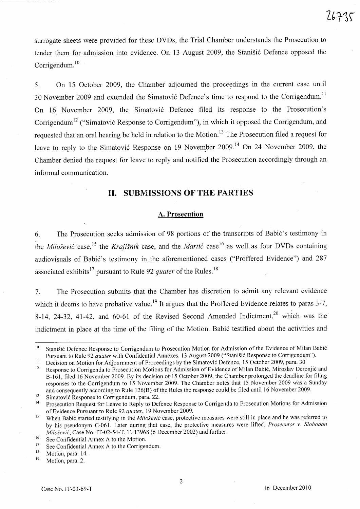surrogate sheets were provided for these DVDs, the Trial Chamber understands the Prosecution to tender them for admission into evidence. On 13 August 2009, the Stanišić Defence opposed the Corrigendum. $10$ 

5. On 15 October 2009, the Chamber adjourned the proceedings m the current case until 30 November 2009 and extended the Simatović Defence's time to respond to the Corrigendum.<sup>11</sup> On 16. November 2009, the Simatovi6 Defence filed its response to the Prosecution's Corrigendum<sup>12</sup> ("Simatović Response to Corrigendum"), in which it opposed the Corrigendum, and requested that an oral hearing be held in relation to the Motion. 13 The Prosecution filed a request for leave to reply to the Simatović Response on 19 November 2009.<sup>14</sup> On 24 November 2009, the Chamber denied the request for leave to reply and notified the Prosecution accordingly through an informal communication.

## **11. SUBMISSIONS OF THE PARTIES**

#### **A. Prosecution**

6. The Prosecution seeks admission of 98 portions of the transcripts of Babić's testimony in the *Miloševic* case,<sup>15</sup> the *Krajišnik* case, and the *Martic* case<sup>16</sup> as well as four DVDs containing audiovisuals of Babić's testimony in the aforementioned cases ("Proffered Evidence") and 287 associated exhibits 17 pursuant to Rule 92 *quater* of the Rules. <sup>18</sup>

7. The Prosecution submits that the Chamber has discretion to admit any relevant evidence which it deems to have probative value.<sup>19</sup> It argues that the Proffered Evidence relates to paras 3-7, 8-14, 24-32, 41-42, and 60-61 of the Revised Second Amended Indictment,<sup>20</sup> which was the indictment in place at the time of the filing of the Motion. Babić testified about the activities and

13 Simatovic Response to Corrigendum, para. 22.

<sup>10</sup>  Stanišić Defence Response to Corrigendum to Prosecution Motion for Admission of the Evidence of Milan Babić Pursuant to Rule 92 *quater* with Confidential Annexes, 13 August 2009 ("Stanisic Response to Corrigendum").

II Decision on Motion for Adjournment of Proceedings by the Simatovic Defence, IS October 2009, para. 30

<sup>12</sup>  Response to Corrigenda to Prosecution Motions for Admission of Evidence of Milan Babic, Miroslav Deronjic and B-161, filed 16 November 2009. By its decision of IS October 2009, the Chamber prolonged the deadline for filing responses to the Corrigendum to IS November 2009. The Chamber notes that IS November 2009 was a Sunday and consequently according to Rule 126(B) of the Rules the response could be filed until 16 November 2009.

<sup>14</sup>  Prosecution Request for Leave to Reply to Defence Response to Corrigenda to Prosecution Motions for Admission of Evidence Pursuant to Rule 92 *quater,* 19 November 2009.

<sup>15</sup>  When Babic started testifying in the *Milosevic* case, protective measures were still in place and he was referred to by his pseudonym C-061. Later during that case, the protective measures were lifted, *Prosecutor* v. *Slobodan*  Milošević, Case No. IT-02-54-T, T. 13968 (6 December 2002) and further.

<sup>&#</sup>x27;16 See Confidential Annex A to the Motion.

<sup>17</sup>  See Confidential Annex A to the Corrigendum.

<sup>18</sup>  Motion, para. 14.

<sup>19</sup>  Motion, para. 2.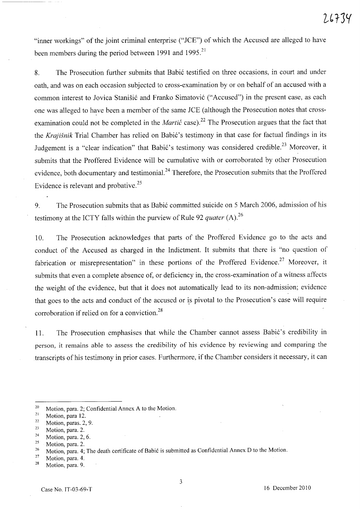"inner workings" of the joint criminal enterprise ("JCE") of which the Accused are alleged to have been members during the period between 1991 and 1995.<sup>21</sup>

8. The Prosecution further submits that Babić testified on three occasions, in court and under oath, and was on each occasion subjected to cross-examination by or on behalf of an accused with a common interest to Jovica Stanišić and Franko Simatović ("Accused") in the present case, as each one was alleged to have been a member of the same JCE (although the Prosecution notes that crossexamination could not be completed in the *Martic* case).<sup>22</sup> The Prosecution argues that the fact that the *Krajišnik* Trial Chamber has relied on Babić's testimony in that case for factual findings in its Judgement is a "clear indication" that Babić's testimony was considered credible.<sup>23</sup> Moreover, it submits that the Proffered Evidence will be cumulative with or corroborated by other Prosecution evidence, both documentary and testimonial.<sup>24</sup> Therefore, the Prosecution submits that the Proffered Evidence is relevant and probative.<sup>25</sup>

9. The Prosecution submits that as Babi6 committed suicide on 5 March 2006, admission of his testimony at the ICTY falls within the purview of Rule 92 *quater* (A).26

10. The Prosecution acknowledges that parts of the Proffered Evidence go to the acts and conduct of the Accused as charged in the Indictment. It submits that there is "no question of fabrication or misrepresentation" in these portions of the Proffered Evidence.<sup>27</sup> Moreover, it submits that even a complete absence of, or deficiency in, the cross-examination of a witness affects the weight of the evidence, but that it does not automatically lead to its non-admission; evidence that goes to the acts and conduct of the accused or is pivotal to the Prosecution's case will require corroboration if relied on for a conviction.<sup>28</sup>

11. The Prosecution emphasises that while the Chamber cannot assess Babić's credibility in person, it remains able to assess the credibility of his evidence by reviewing and comparing the transcripts of his testimony in prior cases. Furthermore, if the Chamber considers it necessary, it can

 $\frac{22}{23}$  Motion, paras. 2, 9.

 $\frac{24}{25}$  Motion, para. 2, 6.

 $\frac{27}{28}$  Motion, para. 4.

3

<sup>&</sup>lt;sup>20</sup> Motion, para. 2; Confidential Annex A to the Motion.<br><sup>21</sup> Motion, para 12

 $\frac{21}{22}$  Motion, para 12.

 $\frac{23}{24}$  Motion, para. 2.

Motion, para. 2.

<sup>&</sup>lt;sup>26</sup> Motion, para. 4; The death certificate of Babić is submitted as Confidential Annex D to the Motion.

Motion, para. 9.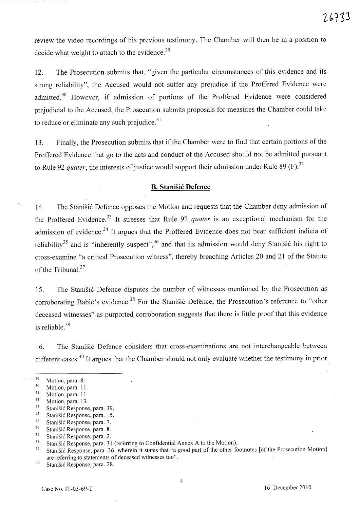review the video recordings of his previous testimony. The Chamber will then be in a position to decide what weight to attach to the evidence.<sup>29</sup>

12. The Prosecution submits that, "given the particular circumstances of this evidence and its strong reliability", the Accused would not suffer any prejudice if the Proffered Evidence were admitted.<sup>30</sup> However, if admission of portions of the Proffered Evidence were considered prejudicial to the Accused, the Prosecution submits proposals for measures the Chamber could take to reduce or eliminate any such prejudice. $31$ 

13. Finally, the Prosecution submits that if the Chamber were to find that certain portions of the Proffered Evidence that go to the acts and conduct of the Accused should not be admitted pursuant to Rule 92 *quater*, the interests of justice would support their admission under Rule 89 (F).<sup>32</sup>

#### **B. Stanisic Defence**

14. The Stanišić Defence opposes the Motion and requests that the Chamber deny admission of the Proffered Evidence.<sup>33</sup> It stresses that Rule 92 *quater* is an exceptional mechanism for the admission of evidence.<sup>34</sup> It argues that the Proffered Evidence does not bear sufficient indicia of reliability<sup>35</sup> and is "inherently suspect",<sup>36</sup> and that its admission would deny Stanišić his right to cross-examine "a critical Prosecution witness", thereby breaching Articles 20 and 21 of the Statute of the Tribunal.<sup>37</sup>

15. The Stanišić Defence disputes the number of witnesses mentioned by the Prosecution as corroborating Babić's evidence.<sup>38</sup> For the Stanišić Defence, the Prosecution's reference to "other deceased witnesses" as purported corroboration suggests that there is little proof that this evidence is reliable. $39$ 

16. The Stanišić Defence considers that cross-examinations are not interchangeable between different cases.<sup>40</sup> It argues that the Chamber should not only evaluate whether the testimony in prior

<sup>29</sup>  Motion, para. 8.

<sup>30</sup>  Motion, para. 11.

<sup>31</sup>  Motion, para. 1l.

<sup>32</sup>  Motion, para. 13.

<sup>33</sup>  Stanišić Response, para. 39.

<sup>34</sup>  Stanišić Response, para. 15.

<sup>35</sup>  Stanišić Response, para. 7.

<sup>36</sup>  Stanišić Response, para. 8.

<sup>37</sup>  Stanišić Response, para. 2.

<sup>38</sup>  Stanišić Response, para. 31 (referring to Confidential Annex A to the Motion).

<sup>39</sup>  Stanišić Response, para. 36, wherein it states that "a good part of the other footnotes [of the Prosecution Motion] are referring to statements of deceased witnesses too".

<sup>40</sup>  Stanišić Response, para. 28.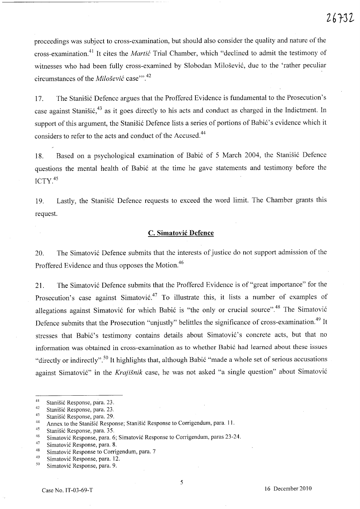proceedings was subject to cross-examination, but should also consider the quality and nature of the cross-examination.<sup>41</sup>It cites the *Martic* Trial Chamber, which "declined to admit the testimony of witnesses who had been fully cross-examined by Slobodan Milošević, due to the 'rather peculiar circumstances of the *Milosevic* case'''. 42

17. The Stanišić Defence argues that the Proffered Evidence is fundamental to the Prosecution's case against Stanišić,<sup>43</sup> as it goes directly to his acts and conduct as charged in the Indictment. In support of this argument, the Stanišić Defence lists a series of portions of Babić's evidence which it considers to refer to the acts and conduct of the Accused.<sup>44</sup>

18. Based on a psychological examination of Babić of 5 March 2004, the Stanisić Defence questions the mental health of Babić at the time he gave statements and testimony before the ICTY.<sup>45</sup>

19. Lastly, the Stanišić Defence requests to exceed the word limit. The Chamber grants this request.

## **c. Simatovic Defence**

20. The Simatović Defence submits that the interests of justice do not support admission of the Proffered Evidence and thus opposes the Motion.<sup>46</sup>

21. The Simatović Defence submits that the Proffered Evidence is of "great importance" for the Prosecution's case against Simatović.<sup>47</sup> To illustrate this, it lists a number of examples of allegations against Simatović for which Babić is "the only or crucial source".<sup>48</sup> The Simatović Defence submits that the Prosecution "unjustly" belittles the significance of cross-examination.<sup>49</sup> It stresses that Babić's testimony contains details about Simatović's concrete acts, but that no information was obtained in cross-examination as to whether Babić had learned about these issues "directly or indirectly".<sup>50</sup> It highlights that, although Babić "made a whole set of serious accusations" against Simatović" in the *Krajišnik* case, he was not asked "a single question" about Simatović

45 Stanišić Response, para. 35.

<sup>41</sup>  Stanišić Response, para. 23.

<sup>42</sup>  Stanišić Response, para. 23.

<sup>43</sup>  Stanišić Response, para. 29.

<sup>44</sup>  Annex to the Stanišić Response; Stanišić Response to Corrigendum, para. 11.

<sup>46</sup>  Simatovi6 Response, para. 6; Simatovi6 Response to Corrigendum, paras 23-24.

<sup>47</sup>  Simatovi6 Response, para. 8.

<sup>48</sup>  Simatović Response to Corrigendum, para. 7

<sup>49</sup>  Simatovi6 Response, para. 12.

<sup>50</sup>  Simatović Response, para. 9.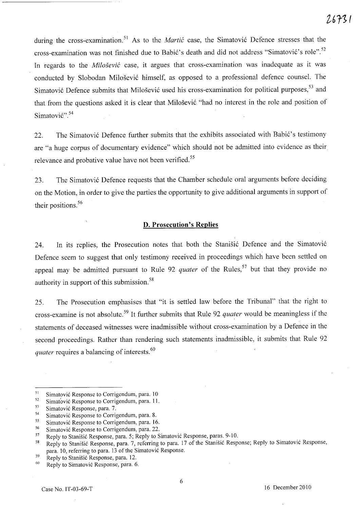during the cross-examination.<sup>51</sup> As to the *Martic* case, the Simatovic Defence stresses that the cross-examination was not finished due to Babić's death and did not address "Simatović's role".<sup>52</sup> In regards to the *Milosevic* case, it argues that cross-examination was inadequate as it was conducted by Slobodan Milosevi6 himself, as opposed to a professional defence counsel. The Simatović Defence submits that Milošević used his cross-examination for political purposes,<sup>53</sup> and that from the questions asked it is clear that Milošević "had no interest in the role and position of Simatović".<sup>54</sup>

22. The Simatović Defence further submits that the exhibits associated with Babić's testimony are "a huge corpus of documentary evidence" which should not be admitted into evidence as their relevance and probative value have not been verified.<sup>55</sup>

23. The Simatović Defence requests that the Chamber schedule oral arguments before deciding on the Motion, in order to give the parties the opportunity to give additional arguments in support of their positions. 56

#### **D. Prosecution's Replies**

24. In its replies, the Prosecution notes that both the Stanisic Defence and the Simatovic Defence seem to suggest that only testimony received in proceedings which have been settled on appeal may be admitted pursuant to Rule 92 *quater* of the Rules,<sup>57</sup> but that they provide no authority in support of this submission.<sup>58</sup>

25. The Prosecution emphasises that "it is settled law before the Tribunal" that the right to cross-examine is not absolute. 59 It further submits that Rule 92 *quater* would be meaningless if the statements of deceased witnesses were inadmissible without cross-examination by a Defence in the second proceedings. Rather than rendering such statements inadmissible, it submits that Rule 92 *quater requires a balancing of interests.*<sup>60</sup>

<sup>51</sup>  Simatovic Response to Corrigendum, para. 10

<sup>52</sup>  Simatović Response to Corrigendum, para. 11.

<sup>53</sup>  Simatovic Response, para. 7.

<sup>54</sup>  Simatovic Response to Corrigendum, para. 8.

<sup>55</sup>  Simatovic Response to Corrigendum, para. 16.

<sup>56</sup>  Simatović Response to Corrigendum, para. 22.

<sup>57</sup>  Reply to Stanisic Response, para. 5; Reply to Simatovic Response, paras. 9-10.

<sup>58</sup>  Reply to Stanisic Response, para. 7, referring to para. 17 of the Stanisic Response; Reply to Simatovic Response, para. 10, referring to para. 13 of the Simatovic Response.

<sup>59</sup>  Reply to Stanisic Response, para. 12.

<sup>60</sup>  Reply to Simatovic Response, para. 6.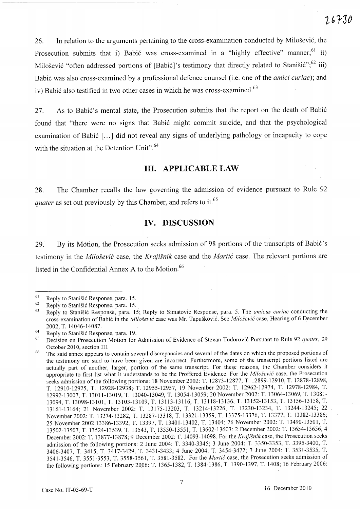26. In relation to the arguments pertaining to the cross-examination conducted by Milosevic, the Prosecution submits that i) Babić was cross-examined in a "highly effective" manner;<sup>61</sup> ii) Milošević "often addressed portions of [Babić]'s testimony that directly related to Stanišić";<sup>62</sup> iii) Babic was also cross-examined by a professional defence counsel(i.e. one of the *amici curiae);* and iv) Babić also testified in two other cases in which he was cross-examined.<sup>63</sup>

27. As to Babić's mental state, the Prosecution submits that the report on the death of Babić found that "there were no signs that Babic might commit suicide, and that the psychological examination of Babić [...] did not reveal any signs of underlying pathology or incapacity to cope with the situation at the Detention Unit".<sup>64</sup>

## **HI. APPLICABLE LAW**

28. The Chamber recalls the law governing the admission of evidence pursuant to Rule 92 *quater* as set out previously by this Chamber, and refers to it.<sup>65</sup>

## **IV. DISCUSSION**

29. By its Motion, the Prosecution seeks admission of 98 portions of the transcripts of Babić's testimony in the *Milosevit* case, the *Krajisnik* case and the *Martit* case. The relevant portions are listed in the Confidential Annex A to the Motion.<sup>66</sup>

<sup>61</sup>  Reply to Stanisic Response, para. 15.

<sup>62</sup>  Reply to Stanisic Response, para. 15.\_

<sup>63</sup>  Reply to Stanisic Response, para. 15; Reply to Simatovic Response, para. 5. The *amicus curiae* conducting the cross-examination of Babic in the *Milosevic* case was Mr. Tapuskovic. See *Milosevic* case, Hearing of 6 December 2002, T. 14046-14087.

<sup>64</sup>  Reply to Stanisic Response, para. 19.

<sup>65</sup>  Decision on Prosecution Motion for Admission of Evidence of Stevan Todorovic Pursuant to Rule 92 *quater, 29*  October 2010, section Ill.

<sup>66</sup>  The said annex appears to contain several discrepancies and several of the dates on which the proposed portions of the testimony are said to have been given are incorrect. Furthermore, some of the transcript portions listed are actually part of another, larger, portion of the same transcript. For these reasons, the Chamber considers it appropriate to first list what it understands to be the Proffered Evidence. For the *Milosevic* case, the Prosecution seeks admission of the following portions: 18 November 2002: T. 12873-12877, T. 12899-12910, T. 12878-12898, T. 12910-12925, T. 12928-12938; T. 12955-12957, 19 November 2002: T. 12962-12974, T. 12978-12984, T. 12992-13007, T. 13011-13019, T. 13040-13049, T. 13054-13059; 20 November 2002: T. 13064-13069, T. 13081- 13094, T. 13098-13101, T. 13103-13109, T. 13113-13116, T. 13118-13136, T. 13152-13153, T. 13156-13158, T. 13161-13164; 21 November 2002: T. 13175-13203, T. 13214-13226, T. 13230-13234, T. 13244-13245; 22 November 2002: T. 13274-13282, T. 13287-13318, T. 13321-13359, T. 13375-13376, T. 13377, T. 13382-13386; 25 November 2002:13386-13392, T. 13397, T. 13401-13402, T. 13404; 26 November 2002: T. 13490-13501, T. 13502-13507, T. 13524-13539, T. 13543, T. 13550-13551, T. 13602~13603; 2 December 2002: T. 13654-13656; 4 December 2002: T. 13877-13878; 9 December 2002: T. 14093-14098. For the *Krajisnik* case, the Prosecution seeks admission of the following portions: 2 June 2004: T. 3340-3345; 3 June 2004: T. 3350-3353, T. 3395-3400, T. 3406-3407, T. 3415, T. 3417-3429, T. 3431-3433; 4 June 2004: T. 3454-3472; 7 June 2004: T. 3531-3535, T. 3541-3546, T. 3551-3553, T. 3558-3561, T. 3581-3582. For the *Martic* case, the Prosecution seeks admission of the following portions: 15 February 2006: T. 1365-1382, T. 1384-1386, T. 1390-1397, T. 1408; 16 February 2006: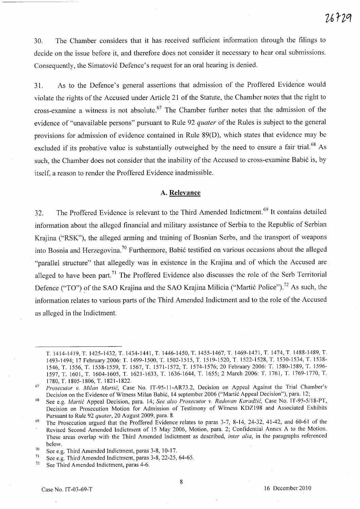30. The Chamber considers that it has received sufficient information through the filings to decide on the issue before it, and therefore does not consider it necessary to hear oral submissions. Consequently, the Simatović Defence's request for an oral hearing is denied.

31. As to the Defence's general assertions that admission of the Proffered Evidence would violate the rights of the Accused under Article 21 of the Statute, the Chamber notes that the right to cross-examine a witness is not absolute.<sup>67</sup> The Chamber further notes that the admission of the evidence of "unavailable persons" pursuant to Rule 92 *quater* of the Rules is subject to the general provisions for admission of evidence contained in Rule 89(D), which states that evidence may be excluded if its probative value is substantially outweighed by the need to ensure a fair trial.<sup>68</sup> As such, the Chamber does not consider that the inability of the Accused to cross-examine Babić is, by itself, a reason to render the Proffered Evidence inadmissible.

#### **A. Relevance**

32. The Proffered Evidence is relevant to the Third Amended Indictment. 69 It contains detailed information about the alleged financial and military assistance of Serbia to the Republic of Serbian Krajina ("RSK"), the alleged arming and training of Bosnian Serbs, and the transport of weapons into Bosnia and Herzegovina.<sup>70</sup> Furthermore, Babić testified on various occasions about the alleged "parallel structure" that allegedly was in existence in the Krajina and of which the Accused are alleged to have been part.<sup>71</sup> The Proffered Evidence also discusses the role of the Serb Territorial Defence ("TO") of the SAO Krajina and the SAO Krajina Milicia ("Martić Police").<sup>72</sup> As such, the information relates to various parts of the Third Amended Indictment and to the role of the Accused as alleged in the Indictment.

T. 1414-1419, T. 1425-1432, T. 1434-1441, T. 1446-1450, T. 1455-1467, T. 1469-1471, T. 1474, T. 1488-1489, T. 1493-1494; 17 February 2006: T. 1499-1500, T. 1502-1515, T. 1519-1520, T. 1522-1528, T. 1530-1534, T. 1538- 1546, T. 1556, T. 1558-1559, T. 1567, T. 1571-1572, T. 1574-1576; 20 February 2006: T. 1580-1589, T. 1596- 1597, T. 1601, T. 1604-1605, T. 1621-1633, T. 1636-1644, T. 1655; 2 March 2006: T. 1761, T. 1769-1770, T. 1780,T. 1805-1806,T. 1821-1822.

<sup>67</sup>  *Prosecutor* v. *Milan Martic,* Case No. IT-95-11-AR73.2, Decision on Appeal Against the Trial Chamber's Decision on the Evidence of Witness Milan Babic, 14 september 2006 ("Martic Appeal Decision"), para. 12;

<sup>68</sup>  See e.g. *Martic* Appeal Decision, para. 14; *See also Prosecutor* v. *Radovan Karadiic,* Case No. IT-95-5118-PT, Decision on Prosecution Motion for Admission of Testimony of Witness KDZ198 and Associated Exhibits Pursuant to Rule 92 *quater,* 20 August 2009, para. 8.

<sup>69</sup>  The Prosecution argued that the Proffered Evidence relates to paras 3-7, 8-14, 24-32, 41-42, and 60-61 of the Revised Second Amended Indictment of 15 May 2006, Motion, para. 2; Confidential Annex A to the Motion. These areas overlap with the Third Amended Indictment as described, *inter alia,* in the paragraphs referenced below.

<sup>70</sup>  See e.g. Third Amended Indictment, paras 3-8, 10-17.

<sup>71</sup>  See e.g. Third'Amended Indictment, paras 3-8, 22-25, 64-65.

<sup>72</sup>  See Third Amended Indictment, paras 4-6.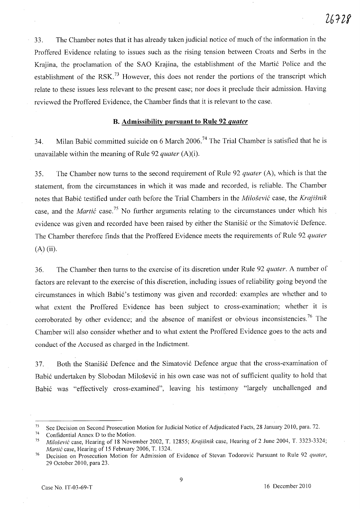33. The Chamber notes that it has already taken judicial notice of much of the information in the Proffered Evidence relating to issues such as the rising tension between Croats and Serbs in the Krajina, the proclamation of the SAO Krajina, the establishment of the Martić Police and the establishment of the RSK.<sup>73</sup> However, this does not render the portions of the transcript which relate to these issues less relevant to the present case; nor does it preclude their admission. Having reviewed the Proffered Evidence, the Chamber finds that it is relevant to the case.

## **B. Admissibility pursuant to Rule 92** *quater*

34. Milan Babić committed suicide on 6 March 2006.<sup>74</sup> The Trial Chamber is satisfied that he is unavailable within the meaning of Rule 92 *quater* (A)(i).

35. The Chamber now turns to the second requirement of Rule 92 *quater* (A), which is that the statement, from the circumstances in which it was made and recorded, is reliable. The Chamber notes that Babi6 testified under oath before the Trial Chambers in the *Milosevic* case, the *Krajisnik*  case, and the *Martic* case.<sup>75</sup> No further arguments relating to the circumstances under which his evidence was given and recorded have been raised by either the Stanisic or the Simatovic Defence. The Chamber therefore finds that the Proffered Evidence meets the requirements of Rule 92 *quater*  (A) (ii).

36. The Chamber then turns to the exercise of its discretion under Rule 92 *quater.* A number of factors are relevant to the exercise of this discretion, including issues of reliability going beyond the circumstances in which Babić's testimony was given and recorded: examples are whether and to what extent the Proffered Evidence has been subject to cross-examination; whether it is corroborated by other evidence; and the absence of manifest or obvious inconsistencies.<sup>76</sup> The Chamber will also consider whether and to what extent the Proffered Evidence goes to the acts and conduct of the Accused as charged in the Indictment.

37. Both the Stanisic Defence and the Simatovic Defence argue that the cross-examination of Babic undertaken by Slobodan Milosevic in his own case was not of sufficient quality to hold that Babic was "effectively cross-examined", leaving his testimony "largely unchallenged and

<sup>&</sup>lt;sup>73</sup> See Decision on Second Prosecution Motion for Judicial Notice of Adjudicated Facts, 28 January 2010, para. 72.

<sup>&</sup>lt;sup>74</sup> Confidential Annex D to the Motion.<br> $^{75}$  Mile Xavié esse. Herring of 18 Novem

*<sup>75</sup> Milosevic* case, Hearing of 18 November 2002, T. 12855; *Krajisnik* case, Hearing of 2 June 2004, T. 3323-3324; *Martic* case, Hearing of 15 February 2006, T. 1324.

<sup>76</sup> Decision on Prosecution Motion for Admission of Evidence of Stevan Todorovic Pursuant to Rule 92 *quater,*  29 October 2010, para 23.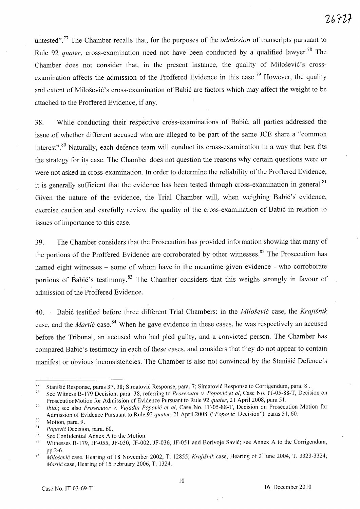untested".77 The Chamber recalls that, for the purposes of the *admission* of transcripts pursuant to Rule 92 *quater*, cross-examination need not have been conducted by a qualified lawyer.<sup>78</sup> The Chamber does not consider that, in the present instance, the quality of Milošević's crossexamination affects the admission of the Proffered Evidence in this case.<sup>79</sup> However, the quality and extent of Milošević's cross-examination of Babić are factors which may affect the weight to be attached to the Proffered Evidence, if any.

38. While conducting their respective cross-examinations of Babi6, all parties addressed the issue .of whether different accused who are alleged to be part of the same *lCE* share a "common interest".<sup>80</sup> Naturally, each defence team will conduct its cross-examination in a way that best fits the strategy for its case. The Chamber does not question the reasons why certain questions were or were not asked in cross-examination. In order to determine the reliability of the Proffered Evidence, it is generally sufficient that the evidence has been tested through cross-examination in general.<sup>81</sup> Given the nature of the evidence, the Trial Chamber will, when weighing Babić's evidence, exercise caution and carefully review the quality of the cross-examination of Babić in relation to issues of importance to this case.

39. The Chamber considers that the Prosecution has provided information showing that many of the portions of the Proffered Evidence are corroborated by other witnesses.<sup>82</sup> The Prosecution has named eight witnesses – some of whom have in the meantime given evidence - who corroborate portions of Babić's testimony.<sup>83</sup> The Chamber considers that this weighs strongly in favour of admission of the Proffered Evidence.

40. Babi6 testified before three different Trial Chambers: in the *Milosevic* case, the *Krajisnik*  '. case, and the *Martic* case. 84 When he gave evidence in these cases, he was respectively an accused before the Tribunal, an accused who had pled guilty, and a convicted person. The Chamber has compared Babić's testimony in each of these cases, and considers that they do not appear to contain manifest or obvious inconsistencies. The Chamber is also not convinced by the Stanišić Defence's

<sup>82</sup> See Confidential Annex A to the Motion.<br><sup>83</sup> Witnesses B 170, JE 055, JE 030, JE-002

<sup>&</sup>lt;sup>77</sup> Stanišić Response, paras 37, 38; Simatović Response, para. 7; Simatović Response to Corrigendum, para. 8 .<br><sup>78</sup> See Witness B, 170 Decision, para. 38, referring to *Prosecutor v. Ponović et al. Case* No. 1T-05-88-T. D

<sup>78</sup> See Witness 8-179 Decision, para. 38, referring to *Prosecutor* v. *Popovic et ai,* Case No. IT-05-88-T, Decision on Prosecution Motion for Admission of Evidence Pursuant to Rule 92 *quater,* 21 April 2008, para 51.

<sup>79</sup>*lbid;* see also *Prosecutor* v. *Vujadin Popovic et ai,* Case No. IT -05-88-T, Decision on Prosecution Motion for Admission of Evidence Pursuant to Rule 92 *quater*, 21 April 2008, *("Popović* Decision"), paras 51, 60.

 $\frac{80}{81}$  Motion, para. 9.

<sup>&</sup>lt;sup>81</sup> Popović Decision, para. 60.<br><sup>82</sup> See Confidential Annex A<sub>1</sub>.

Witnesses B-179, JF-055, JF-030, JF-002, JF-036, JF-051 and Borivoje Savić; see Annex A to the Corrigendum, pp 2-6.

*<sup>84</sup> Milosevic* case, Hearing of 18 November 2002, T. 12855; *Krajisnik* case, Hearing of 2 June 2004, T. 3323-3324; *Martic* case, Hearing of 15 February 2006, T. 1324.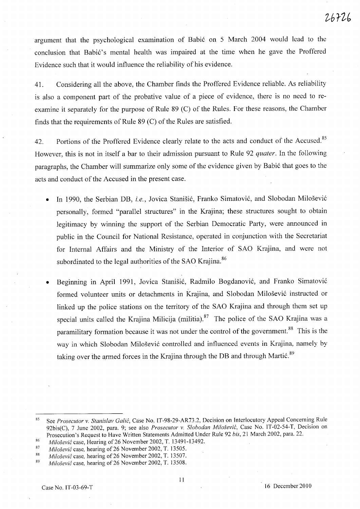argument that the psychological examination of Babic on 5 March 2004 would lead to the conclusion that Babić's mental health was impaired at the time when he gave the Proffered Evidence such that it would influence the reliability of his evidence.

41. Considering all the above, the Chamber finds the Proffered Evidence reliable. As reliability is also a component part of the probative value of a piece of evidence, there is no need to reexamine it separately for the purpose of Rule 89 (C) of the Rules. For these reasons, the Chamber finds that the requirements of Rule 89 (C) of the Rules are satisfied.

42. Portions of the Proffered Evidence clearly relate to the acts and conduct of the Accused.<sup>85</sup> However, this is not in itself a bar to their admission pursuant to Rule 92 *quater.* In the following paragraphs, the Chamber will summarize only some of the evidence given by Babic that goes to the acts and conduct of the Accused in the present case.

- In 1990, the Serbian DB, i.e., Jovica Stanišić, Franko Simatović, and Slobodan Milošević personally, formed "parallel structures" in the Krajina; these structures sought to obtain legitimacy by winning the support of the Serbian Democratic Party, were announced in public in the Council for National Resistance, operated in conjunction with the Secretariat for Internal Affairs and the Ministry of the Interior of SAO Krajina, and were not subordinated to the legal authorities of the SAO Krajina.<sup>86</sup>
- Beginning in April 1991, Jovica Stanisic, Radmilo Bogdanovic, and Franko Simatovic formed volunteer units or detachments in Krajina, and Slobodan Milosevic instructed or linked up the police stations on the territory of the SAO Krajina and through them set up special units called the Krajina Milicija (militia).<sup>87</sup> The police of the SAO Krajina was a paramilitary formation because it was not under the control of the government.<sup>88</sup> This is the way in which Slobodan Milosevic controlled and influenced events in Krajina, namely by taking over the armed forces in the Krajina through the DB and through Martić.<sup>89</sup>

<sup>85</sup>  See Prosecutor v. Stanislav Galić, Case No. IT-98-29-AR73.2, Decision on Interlocutory Appeal Concerning Rule 92bis(C), 7 June 2002, para. 9; see also *Prosecutor v. Slobodan Milosevic,* Case No. IT-02-54-T, Decision on Prosecution's Request to Have Written Statements Admitted Under Rule 92 *bis,* 21 March 2002, para. 22.

<sup>86</sup>  *Milosevic* case, Hearing of26 November 2002, T. 13491-13492.

<sup>87</sup>  *Milošević* case, hearing of 26 November 2002, T. 13505.

<sup>88</sup>  *Milosevic* case, hearing of26 November 2002, T. 13507.

<sup>89</sup>  *Milošević* case, hearing of 26 November 2002, T. 13508.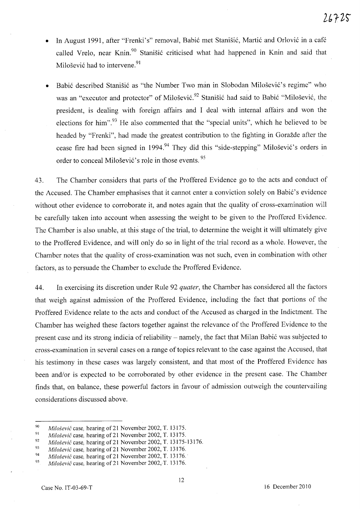- In August 1991, after "Frenki's" removal, Babić met Stanišić, Martić and Orlović in a café called Vrelo, near Knin.<sup>90</sup> Stanišić criticised what had happened in Knin and said that Milošević had to intervene.<sup>91</sup>
- Babić described Stanišić as "the Number Two man in Slobodan Milošević's regime" who was an "executor and protector" of Milošević.<sup>92</sup> Stanišić had said to Babić "Milošević, the president, is dealing with foreign affairs and I deal with internal affairs and won the elections for him".<sup>93</sup> He also commented that the "special units", which he believed to be headed by "Frenki", had made the greatest contribution to the fighting in Goražde after the cease fire had been signed in 1994.<sup>94</sup> They did this "side-stepping" Milosević's orders in order to conceal Milošević's role in those events. <sup>95</sup>

43. The Chamber considers that parts of the Proffered Evidence go to the acts and conduct of the Accused. The Chamber emphasises that it cannot enter a conviction solely on Babić's evidence without other evidence to corroborate it, and notes again that the quality of cross-examination will be carefully taken into account when assessing the weight to be given to the Proffered Evidence. The Chamber is also unable, at this stage of the trial, to determine the weight it will ultimately give to the Proffered Evidence, and will only do so in light of the trial record as a whole. However, the Chamber notes that the quality of cross-examination was not such, even in combination with other factors, as to persuade the Chamber to exclude the Proffered Evidence.

44. In exercising its discretion under Rule 92 *quater,* the Chamber has considered all the factors that weigh against admission of the Proffered Evidence, including the fact that portions of the Proffered Evidence relate to the acts and conduct of the Accused as charged in the Indictment. The Chamber has weighed these factors together against the relevance of the Proffered Evidence to the present case and its strong indicia of reliability – namely, the fact that Milan Babić was subjected to cross-examination in several cases on a range of topics relevant to the case against the Accused, that his testimony in these cases was largely consistent, and that most of the Proffered Evidence has been and/or is expected to be corroborated by other evidence in the present case. The Chamber finds that, on balance, these powerful factors in favour of admission outweigh the countervailing considerations discussed above.

<sup>90</sup>  *Milosevic* case, hearing of21 November 2002, T. 13175.

<sup>91</sup>  *Milosevic* case, hearing of21 November 2002, T. 13175.

<sup>92</sup>  *Milošević* case, hearing of 21 November 2002, T. 13175-13176.

<sup>93</sup>  *Milosevic* case, hearing of 21 November 2002, T. 13176.

<sup>94</sup>  *Milosevic* case, hearing of 21 November 2002, T. 13176.·

<sup>95</sup>  *Milosevic* case, hearing of 21 November 2002,T. 13176.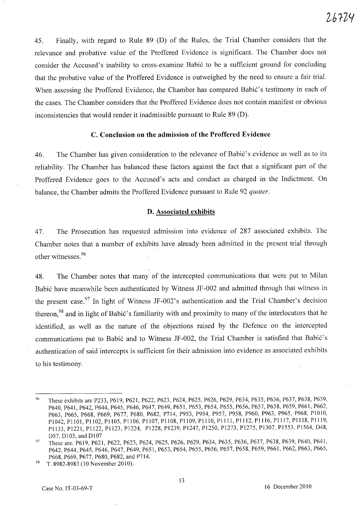45. Finally, with regard to Rule 89 (D) of the Rules, the Trial Chamber considers that the relevance and probative value of the Proffered Evidence is significant. The Chamber does not consider the Accused's inability to cross-examine Babic to be a sufficient ground for concluding that the probative value of the Proffered Evidence is outweighed by the need to ensure a fair trial. When assessing the Proffered Evidence, the Chamber has compared Babić's testimony in each of the cases. The Chamber considers that the Proffered Evidence does not contain manifest or obvious inconsistencies that would render it inadmissible pursuant to Rule 89 (D).

#### C. **Conclusion on the admission of the Proffered Evidence**

46. The Chamber has given consideration to the relevance of Babić's evidence as well as to its reliability. The Chamber has balanced these factors against the fact that a significant part of the Proffered Evidence goes to the Accused's acts and conduct as charged in the Indictment. On balance, the Chamber admits the Proffered Evidence pursuant to Rule 92 *quater.* 

#### **D. Associated exhibits**

47. The Prosecution has requested admission into evidence of 287 associated exhibits. The Chamber notes that a number of exhibits have already been admitted in the present trial through other witnesses.<sup>96</sup>

48. The Chamber notes that many of the intercepted communications that were put to Milan Babic have meanwhile been authenticated by Witness JF -002 and admitted through that witness in the present case.<sup>97</sup> In light of Witness JF-002's authentication and the Trial Chamber's decision thereon, $98$  and in light of Babić's familiarity with and proximity to many of the interlocutors that he identified, as well as the nature of the objections raised by the Defence on the intercepted communications put to Babić and to Witness JF-002, the Trial Chamber is satisfied that Babić's authentication of said intercepts is sufficient for their admission into evidence as associated exhibits to his testimony.

<sup>96</sup> These exhibits are P233, P619, P621, P622, P623, P624, P625, P626, P629, P634, P635, P636, P637, P638, P639, P640, P641, P642, P644, P645, P646, P647, P649, P651, P653,P654, P655, P656, P657,P658, P659, P661, P662, P663, P665, P668, P669, P677, P680, P682, P714, P953, P954, P957, P958, P960, P963, P965, P968, PIOIO, PI042, PllOl, PI 102, PII05, PII06, PII07, PII08, Pll09, PlllO, Pill I, P1112, P1116, P1117, P11l8, P1119, P1133, P1221, P1122, PI123, P1224, PI228, P1239, P1247, P1250, P1273, PI275, P1307, P1553, P1564, 048, D57, D103, and D107

<sup>&</sup>lt;sup>97</sup> These are: P619, P621, P622, P623, P624, P625, P626, P629, P634, P635, P636, P637, P638, P639, P640, P641, P642, P644, P645, P646, P647, P649, P651, P653, P654, P655, P656, P657, P658, P659, P661, P662, P663, P665, P668, P669, P677, P680, P682, and P714.

<sup>&</sup>lt;sup>98</sup> T. 8982-8983 (10 November 2010).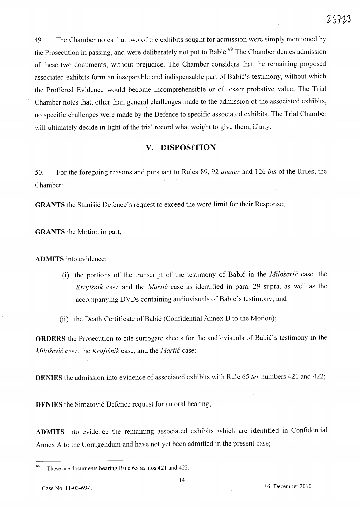49. The Chamber notes that two of the exhibits sought for admission were simply mentioned by the Prosecution in passing, and were deliberately not put to Babić.<sup>99</sup> The Chamber denies admission of these two documents, without prejudice. The Chamber considers that the remaining proposed associated exhibits form an inseparable and indispensable part of Babić's testimony, without which the Proffered Evidence would become incomprehensible or of lesser probative value. The Trial Chamber notes that, other than general challenges made to the admission of the associated exhibits, no specific challenges were made by the Defence to specific associated exhibits. The Trial Chamber will ultimately decide in light of the trial record what weight to give them, if any.

# **v. DISPOSITION**

50. For the foregoing reasons and pursuant to Rules 89, 92 *quater* and 126 *bis* of the Rules, the Chamber:

**GRANTS** the Stanišić Defence's request to exceed the word limit for their Response;

**GRANTS** the Motion in part;

**ADMITS** into evidence:

(i) the portions of the transcript of the testimony of Babi6 in the *Milosevic* case, the *Krajisnik* case and the *Martic* case as identified in para. 29 supra, as well as the accompanying DVDs containing audiovisuals of Babić's testimony; and

(ii) the Death Certificate of Babić (Confidential Annex D to the Motion);

**ORDERS** the Prosecution to file surrogate sheets for the audiovisuals of Babić's testimony in the *Milosevic* case, the *Krajisnik* case, and the *Martic* case;

**DENIES** the admission into evidence of associated exhibits with Rule 65 *fer* numbers 421 and 422;

**DENIES** the Simatović Defence request for an oral hearing;

ADMITS into evidence the remaining associated exhibits which are identified in Confidential Annex A to the Corrigendum and have not yet been admitted in the present case;

<sup>99</sup> These are documents bearing Rule 65 *ter* nos 421 and 422.